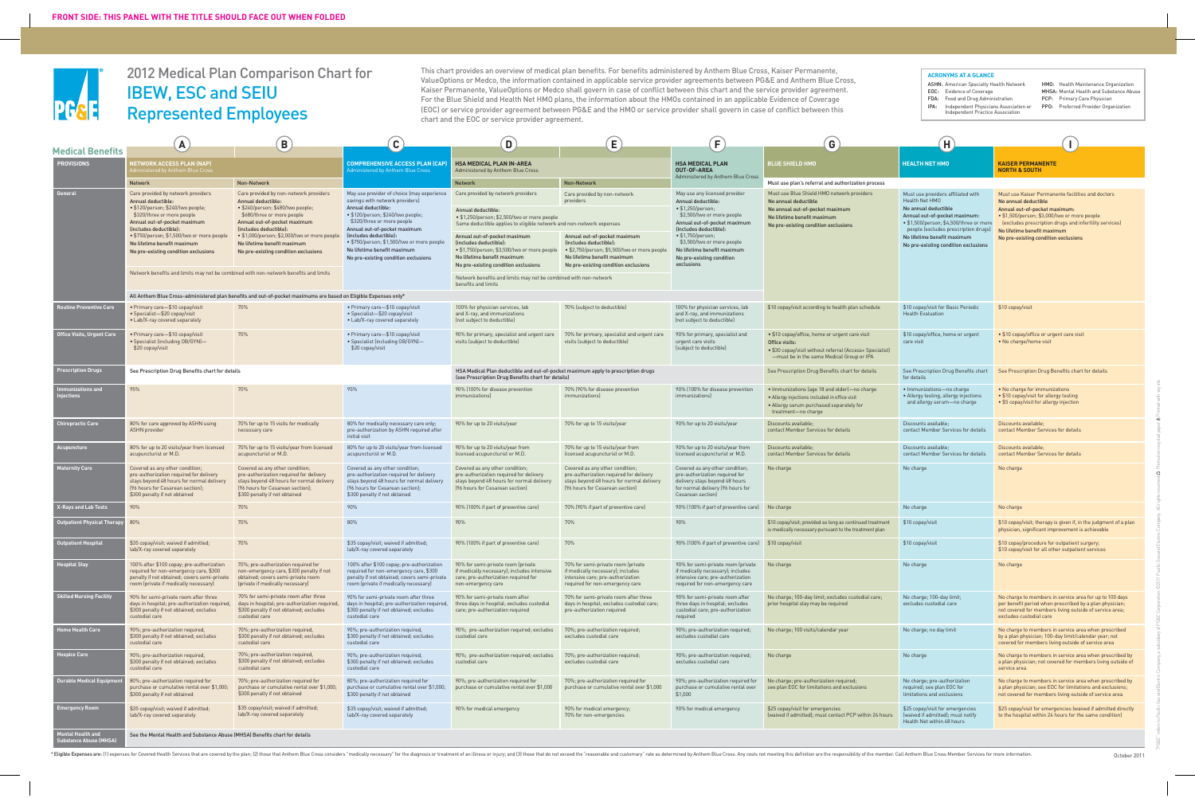

# 2012 Medical Plan Comparison Chart for IBEW, ESC and SEIU Represented Employees

This chart provides an overview of medical plan benefits. For benefits administered by Anthem Blue Cross, Kaiser Permanente, ValueOptions or Medco, the information contained in applicable service provider agreements between PG&E and Anthem Blue Cross, Kaiser Permanente, ValueOptions or Medco shall govern in case of conflict between this chart and the service provider agreement. For the Blue Shield and Health Net HMO plans, the information about the HMOs contained in an applicable Evidence of Coverage (EOC) or service provider agreement between PG&E and the HMO or service provider shall govern in case of conflict between this chart and the EOC or service provider agreement.

#### **ACRONYMS AT A GLANCE**

ASHN: American Specialty Health Network EOC: Evidence of Coverage FDA: Food and Drug Administration

IPA: Independent Physicians Association or Independent Practice Association

HMO: Health Maintenance Organization

- MHSA: Mental Health and Substance Abuse
- PCP: Primary Care Physician
- PPO: Preferred Provider Organization

|                                              | $\mathbf{A}$                                                                                                                                                                                                                                                                                                                                                                                       | $\left( \mathbf{B}\right)$                                                                                                                                                                                                                                                                                                                                                                                                         | $\left[ \mathbf{C}\right]$                                                                                                                                                                                                                                                                                                                           | D                                                                                                                                                                                                                                                                                                                                                                                                                                                            | $\mathsf{E}$                                                                                                                                                                                                               | $\left(\mathsf{F}\right)$                                                                                                                                                                                                                                                                                | $\mathbf{G}$                                                                                                                                                                 | Ή                                                                                                                                                                                                                                                                       |                                                                                                                                                                                                                                                                                             |
|----------------------------------------------|----------------------------------------------------------------------------------------------------------------------------------------------------------------------------------------------------------------------------------------------------------------------------------------------------------------------------------------------------------------------------------------------------|------------------------------------------------------------------------------------------------------------------------------------------------------------------------------------------------------------------------------------------------------------------------------------------------------------------------------------------------------------------------------------------------------------------------------------|------------------------------------------------------------------------------------------------------------------------------------------------------------------------------------------------------------------------------------------------------------------------------------------------------------------------------------------------------|--------------------------------------------------------------------------------------------------------------------------------------------------------------------------------------------------------------------------------------------------------------------------------------------------------------------------------------------------------------------------------------------------------------------------------------------------------------|----------------------------------------------------------------------------------------------------------------------------------------------------------------------------------------------------------------------------|----------------------------------------------------------------------------------------------------------------------------------------------------------------------------------------------------------------------------------------------------------------------------------------------------------|------------------------------------------------------------------------------------------------------------------------------------------------------------------------------|-------------------------------------------------------------------------------------------------------------------------------------------------------------------------------------------------------------------------------------------------------------------------|---------------------------------------------------------------------------------------------------------------------------------------------------------------------------------------------------------------------------------------------------------------------------------------------|
| <b>Medical Benefits</b><br><b>PROVISIONS</b> | <b>IETWORK ACCESS PLAN (NAP)</b><br>istered by Anthem Blue Cros:                                                                                                                                                                                                                                                                                                                                   |                                                                                                                                                                                                                                                                                                                                                                                                                                    | <b>COMPREHENSIVE ACCESS PLAN (CAP</b><br>Administered by Anthem Blue Cross                                                                                                                                                                                                                                                                           | <b>HSA MEDICAL PLAN IN-AREA</b><br>Administered by Anthem Blue Cross                                                                                                                                                                                                                                                                                                                                                                                         |                                                                                                                                                                                                                            | <b>HSA MEDICAL PLAN</b><br>OUT-OF-AREA                                                                                                                                                                                                                                                                   | <b>BLUE SHIELD HMO</b>                                                                                                                                                       | <b>HEALTH NET HMO</b>                                                                                                                                                                                                                                                   | <b>KAISER PERMANENTE</b><br><b>NORTH &amp; SOUTH</b>                                                                                                                                                                                                                                        |
|                                              | <b>Network</b>                                                                                                                                                                                                                                                                                                                                                                                     | Non-Network                                                                                                                                                                                                                                                                                                                                                                                                                        |                                                                                                                                                                                                                                                                                                                                                      | <b>Network</b>                                                                                                                                                                                                                                                                                                                                                                                                                                               | Non-Network                                                                                                                                                                                                                | Administered by Anthem Blue Cross                                                                                                                                                                                                                                                                        | Must use plan's referral and authorization process                                                                                                                           |                                                                                                                                                                                                                                                                         |                                                                                                                                                                                                                                                                                             |
| General                                      | Care provided by network providers<br>Annual deductible:<br>· \$120/person; \$240/two people;<br>\$320/three or more people<br>Annual out-of-pocket maximum<br>(includes deductible):<br>• \$750/person; \$1,500/two or more people<br>No lifetime benefit maximum<br>No pre-existing condition exclusions<br>Network benefits and limits may not be combined with non-network benefits and limits | Care provided by non-network providers<br>Annual deductible:<br>· \$240/person; \$480/two people;<br>\$680/three or more people<br>Annual out-of-pocket maximum<br>(includes deductible):<br>• \$1,000/person; \$2,000/two or more peop<br>No lifetime benefit maximum<br>No pre-existing condition exclusions<br>All Anthem Blue Cross-administered plan benefits and out-of-pocket maximums are based on Eligible Expenses only* | May use provider of choice (may experience<br>savings with network providers)<br>Annual deductible:<br>· \$120/person; \$240/two people;<br>\$320/three or more people<br>Annual out-of-pocket maximum<br>(includes deductible)<br>• \$750/person; \$1,500/two or more people<br>No lifetime benefit maximum<br>No pre-existing condition exclusions | Care provided by network providers<br>Annual deductible:<br>• \$1,250/person; \$2,500/two or more people<br>Same deductible applies to eligible network and non-network expenses<br>Annual out-of-pocket maximum<br>(includes deductible):<br>· \$1,750/person; \$3,500/two or more people<br>No lifetime benefit maximum<br>No pre-existing condition exclusions<br>Network benefits and limits may not be combined with non-network<br>benefits and limits | Care provided by non-network<br>providers<br>Annual out-of-pocket maximum<br>(includes deductible):<br>· \$2,750/person; \$5,500/two or more people<br>No lifetime benefit maximum<br>No pre-existing condition exclusions | May use any licensed provider<br>Annual deductible:<br>$\cdot$ \$1,250/person;<br>\$2,500/two or more people<br>Annual out-of-pocket maximum<br>(includes deductible)<br>$\cdot$ \$1,750/person;<br>\$3,500/two or more people<br>No lifetime benefit maximum<br>No pre-existing condition<br>exclusions | Must use Blue Shield HMO network providers<br>No annual deductible<br>No annual out-of-pocket maximum<br>No lifetime benefit maximum<br>No pre-existing condition exclusions | Must use providers affiliated with<br>Health Net HMO<br>No annual deductible<br>Annual out-of-pocket maximum:<br>• \$1,500/person; \$4,500/three or more<br>people (excludes prescription drugs)<br>No lifetime benefit maximum<br>No pre-existing condition exclusions | Must use Kaiser Permanente facilities and doctors<br>No annual deductible<br>Annual out-of-pocket maximum:<br>· \$1,500/person; \$3,000/two or more people<br>(excludes prescription drugs and infertility services)<br>No lifetime benefit maximum<br>No pre-existing condition exclusions |
| Routine Preventive Care                      | · Primary care-\$10 copay/visit<br>· Specialist-\$20 copay/visit<br>• Lab/X-ray covered separately                                                                                                                                                                                                                                                                                                 | 70%                                                                                                                                                                                                                                                                                                                                                                                                                                | • Primary care-\$10 copay/visit<br>• Specialist-\$20 copay/visit<br>• Lab/X-ray covered separately                                                                                                                                                                                                                                                   | 100% for physician services, lab<br>and X-ray, and immunizations<br>(not subject to deductible)                                                                                                                                                                                                                                                                                                                                                              | 70% (subject to deductible)                                                                                                                                                                                                | 100% for physician services, lab<br>and X-ray, and immunizations<br>(not subject to deductible)                                                                                                                                                                                                          | \$10 copay/visit according to health plan schedule                                                                                                                           | \$10 copay/visit for Basic Periodic<br><b>Health Evaluation</b>                                                                                                                                                                                                         | \$10 copay/visit                                                                                                                                                                                                                                                                            |
| <b>Office Visits, Urgent Care</b>            | · Primary care-\$10 copay/visit<br>• Specialist (including OB/GYN)—<br>\$20 copay/visit                                                                                                                                                                                                                                                                                                            | 70%                                                                                                                                                                                                                                                                                                                                                                                                                                | • Primary care-\$10 copay/visit<br>· Specialist (including OB/GYN)-<br>\$20 copay/visit                                                                                                                                                                                                                                                              | 90% for primary, specialist and urgent care<br>visits (subject to deductible)                                                                                                                                                                                                                                                                                                                                                                                | 70% for primary, specialist and urgent care<br>visits (subject to deductible)                                                                                                                                              | 90% for primary, specialist and<br>urgent care visits<br>(subject to deductible)                                                                                                                                                                                                                         | • \$10 copay/office, home or urgent care visit<br>Office visits:<br>• \$30 copay/visit without referral (Access+ Specialist)<br>-must be in the same Medical Group or IPA    | \$10 copay/office, home or urgent<br>care visit                                                                                                                                                                                                                         | • \$10 copay/office or urgent care visit<br>• No charge/home visit                                                                                                                                                                                                                          |
| <b>Prescription Drugs</b>                    | See Prescription Drug Benefits chart for details                                                                                                                                                                                                                                                                                                                                                   |                                                                                                                                                                                                                                                                                                                                                                                                                                    |                                                                                                                                                                                                                                                                                                                                                      | HSA Medical Plan deductible and out-of-pocket maximum apply to prescription drugs<br>(see Prescription Drug Benefits chart for details)                                                                                                                                                                                                                                                                                                                      |                                                                                                                                                                                                                            |                                                                                                                                                                                                                                                                                                          | See Prescription Drug Benefits chart for details                                                                                                                             | See Prescription Drug Benefits chart<br>for details                                                                                                                                                                                                                     | See Prescription Drug Benefits chart for details                                                                                                                                                                                                                                            |
| munizations and                              | 95%                                                                                                                                                                                                                                                                                                                                                                                                | 70%                                                                                                                                                                                                                                                                                                                                                                                                                                | 95%                                                                                                                                                                                                                                                                                                                                                  | 90% (100% for disease prevention<br><i>immunizations)</i>                                                                                                                                                                                                                                                                                                                                                                                                    | 70% (90% for disease prevention<br><i>immunizations]</i>                                                                                                                                                                   | 90% (100% for disease prevention<br><i>immunizations]</i>                                                                                                                                                                                                                                                | . Immunizations (age 18 and older)-no charge<br>• Allergy injections included in office visit<br>. Allergy serum purchased separately for<br>treatment-no charge             | · Immunizations-no charge<br>• Allergy testing, allergy injections<br>and allergy serum-no charge                                                                                                                                                                       | . No charge for immunizations<br>• \$10 copay/visit for allergy testing<br>• \$5 copay/visit for allergy injection                                                                                                                                                                          |
| <b>Chiropractic Care</b>                     | 80% for care approved by ASHN using<br><b>ASHN</b> provider                                                                                                                                                                                                                                                                                                                                        | 70% for up to 15 visits for medically<br>necessary care                                                                                                                                                                                                                                                                                                                                                                            | 80% for medically necessary care only;<br>pre-authorization by ASHN required after<br>initial visit                                                                                                                                                                                                                                                  | 90% for up to 20 visits/year                                                                                                                                                                                                                                                                                                                                                                                                                                 | 70% for up to 15 visits/year                                                                                                                                                                                               | 90% for up to 20 visits/year                                                                                                                                                                                                                                                                             | Discounts available;<br>contact Member Services for details                                                                                                                  | Discounts available;<br>contact Member Services for details                                                                                                                                                                                                             | Discounts available;<br>contact Member Services for details                                                                                                                                                                                                                                 |
| Acupuncture                                  | 80% for up to 20 visits/year from licensed<br>acupuncturist or M.D.                                                                                                                                                                                                                                                                                                                                | 70% for up to 15 visits/year from licensed<br>acupuncturist or M.D.                                                                                                                                                                                                                                                                                                                                                                | 80% for up to 20 visits/year from licensed<br>acupuncturist or M.D.                                                                                                                                                                                                                                                                                  | 90% for up to 20 visits/year from<br>licensed acupuncturist or M.D.                                                                                                                                                                                                                                                                                                                                                                                          | 70% for up to 15 visits/year from<br>licensed acupuncturist or M.D.                                                                                                                                                        | 90% for up to 20 visits/year from<br>licensed acupuncturist or M.D.                                                                                                                                                                                                                                      | Discounts available;<br>contact Member Services for details                                                                                                                  | Discounts available;<br>contact Member Services for details                                                                                                                                                                                                             | Discounts available;<br>contact Member Services for details                                                                                                                                                                                                                                 |
| <b>Maternity Care</b>                        | Covered as any other condition;<br>pre-authorization required for delivery<br>stays beyond 48 hours for normal delivery<br>(96 hours for Cesarean section);<br>\$300 penalty if not obtained                                                                                                                                                                                                       | Covered as any other condition;<br>pre-authorization required for delivery<br>stays beyond 48 hours for normal delivery<br>[96 hours for Cesarean section];<br>\$300 penalty if not obtained                                                                                                                                                                                                                                       | Covered as any other condition;<br>pre-authorization required for delivery<br>stays beyond 48 hours for normal delivery<br>[96 hours for Cesarean section];<br>\$300 penalty if not obtained                                                                                                                                                         | Covered as any other condition;<br>pre-authorization required for delivery<br>stays beyond 48 hours for normal delivery<br>[96 hours for Cesarean section]                                                                                                                                                                                                                                                                                                   | Covered as any other condition;<br>pre-authorization required for delivery<br>stays beyond 48 hours for normal delivery<br>[96 hours for Cesarean section]                                                                 | Covered as any other condition;<br>pre-authorization required for<br>delivery stays beyond 48 hours<br>for normal delivery (96 hours for<br>Cesarean section)                                                                                                                                            | No charge                                                                                                                                                                    | No charge                                                                                                                                                                                                                                                               | No charge                                                                                                                                                                                                                                                                                   |
| X-Rays and Lab Tests                         | 90%                                                                                                                                                                                                                                                                                                                                                                                                | 70%                                                                                                                                                                                                                                                                                                                                                                                                                                | 90%                                                                                                                                                                                                                                                                                                                                                  | 90% (100% if part of preventive care)                                                                                                                                                                                                                                                                                                                                                                                                                        | 70% (90% if part of preventive care)                                                                                                                                                                                       | 90% (100% if part of preventive care)                                                                                                                                                                                                                                                                    | No charge                                                                                                                                                                    | No charge                                                                                                                                                                                                                                                               | No charge                                                                                                                                                                                                                                                                                   |
| <b>Outpatient Physical Therapy</b>           | 80%                                                                                                                                                                                                                                                                                                                                                                                                | 70%                                                                                                                                                                                                                                                                                                                                                                                                                                | 80%                                                                                                                                                                                                                                                                                                                                                  | 90%                                                                                                                                                                                                                                                                                                                                                                                                                                                          | 70%                                                                                                                                                                                                                        | 90%                                                                                                                                                                                                                                                                                                      | \$10 copay/visit; provided as long as continued treatment<br>is medically necessary pursuant to the treatment plan                                                           | \$10 copay/visit                                                                                                                                                                                                                                                        | \$10 copay/visit; therapy is given if, in the judgment of a plan<br>physician, significant improvement is achievable                                                                                                                                                                        |
| <b>Outpatient Hospital</b>                   | \$35 copay/visit; waived if admitted;<br>lab/X-ray covered separately                                                                                                                                                                                                                                                                                                                              | 70%                                                                                                                                                                                                                                                                                                                                                                                                                                | \$35 copay/visit: waived if admitted:<br>lab/X-ray covered separately                                                                                                                                                                                                                                                                                | 90% (100% if part of preventive care)                                                                                                                                                                                                                                                                                                                                                                                                                        | 70%                                                                                                                                                                                                                        | 90% (100% if part of preventive care) \$10 copay/visit                                                                                                                                                                                                                                                   |                                                                                                                                                                              | \$10 copay/visit                                                                                                                                                                                                                                                        | \$10 copay/procedure for outpatient surgery;<br>\$10 copay/visit for all other outpatient services                                                                                                                                                                                          |
| ospital Stay                                 | 100% after \$100 copay; pre-authorization<br>required for non-emergency care, \$300<br>penalty if not obtained; covers semi-private<br>room (private if medically necessary)                                                                                                                                                                                                                       | 70%; pre-authorization required for<br>non-emergency care, \$300 penalty if not<br>obtained; covers semi-private room<br>(private if medically necessary)                                                                                                                                                                                                                                                                          | 100% after \$100 copay; pre-authorization<br>required for non-emergency care, \$300<br>penalty if not obtained; covers semi-private<br>room (private if medically necessary)                                                                                                                                                                         | 90% for semi-private room (private<br>if medically necessary); includes intensive<br>care; pre-authorization required for<br>non-emergency care                                                                                                                                                                                                                                                                                                              | 70% for semi-private room (private<br>if medically necessary); includes<br>intensive care; pre-authorization<br>required for non-emergency care                                                                            | 90% for semi-private room (private<br>if medically necessary); includes<br>intensive care; pre-authorization<br>required for non-emergency care                                                                                                                                                          | No charge                                                                                                                                                                    | No charge                                                                                                                                                                                                                                                               | No charge                                                                                                                                                                                                                                                                                   |
| <b>Skilled Nursing Facility</b>              | 90% for semi-private room after three<br>days in hospital; pre-authorization required,<br>\$300 penalty if not obtained; excludes<br>custodial care                                                                                                                                                                                                                                                | 70% for semi-private room after three<br>days in hospital; pre-authorization required<br>\$300 penalty if not obtained; excludes<br>custodial care                                                                                                                                                                                                                                                                                 | 90% for semi-private room after three<br>days in hospital; pre-authorization required,<br>\$300 penalty if not obtained; excludes<br>custodial care                                                                                                                                                                                                  | 90% for semi-private room after<br>three days in hospital; excludes custodial<br>care; pre-authorization required                                                                                                                                                                                                                                                                                                                                            | 70% for semi-private room after three<br>days in hospital; excludes custodial care;<br>pre-authorization required                                                                                                          | 90% for semi-private room after<br>three days in hospital; excludes<br>custodial care; pre-authorization<br>required                                                                                                                                                                                     | No charge; 100-day limit; excludes custodial care;<br>prior hospital stay may be required                                                                                    | No charge; 100-day limit;<br>excludes custodial care                                                                                                                                                                                                                    | No charge to members in service area for up to 100 days<br>per benefit period when prescribed by a plan physician;<br>not covered for members living outside of service area;<br>excludes custodial care                                                                                    |
| Home Health Care                             | 90%; pre-authorization required,<br>\$300 penalty if not obtained; excludes<br>custodial care                                                                                                                                                                                                                                                                                                      | 70%; pre-authorization required,<br>\$300 penalty if not obtained; excludes<br>custodial care                                                                                                                                                                                                                                                                                                                                      | 90%; pre-authorization required,<br>\$300 penalty if not obtained; excludes<br>custodial care                                                                                                                                                                                                                                                        | 90%; pre-authorization required; excludes<br>custodial care                                                                                                                                                                                                                                                                                                                                                                                                  | 70%; pre-authorization required;<br>excludes custodial care                                                                                                                                                                | 90%; pre-authorization required;<br>excludes custodial care                                                                                                                                                                                                                                              | No charge; 100 visits/calendar year                                                                                                                                          | No charge; no day limit                                                                                                                                                                                                                                                 | No charge to members in service area when prescribed<br>by a plan physician; 100-day limit/calendar year; not<br>covered for members living outside of service area                                                                                                                         |
| <b>lospice Care</b>                          | 90%; pre-authorization required,<br>\$300 penalty if not obtained; excludes<br>custodial care                                                                                                                                                                                                                                                                                                      | 70%; pre-authorization required,<br>\$300 penalty if not obtained; excludes<br>custodial care                                                                                                                                                                                                                                                                                                                                      | 90%; pre-authorization required,<br>\$300 penalty if not obtained; excludes<br>custodial care                                                                                                                                                                                                                                                        | 90%; pre-authorization required; excludes<br>custodial care                                                                                                                                                                                                                                                                                                                                                                                                  | 70%; pre-authorization required;<br>excludes custodial care                                                                                                                                                                | 90%; pre-authorization required;<br>excludes custodial care                                                                                                                                                                                                                                              | No charge                                                                                                                                                                    | No charge                                                                                                                                                                                                                                                               | No charge to members in service area when prescribed by<br>a plan physician; not covered for members living outside of<br>service area                                                                                                                                                      |
| <b>Durable Medical Equip</b>                 | 80%; pre-authorization required for<br>purchase or cumulative rental over \$1,000;<br>\$300 penalty if not obtained                                                                                                                                                                                                                                                                                | 70%; pre-authorization required for<br>purchase or cumulative rental over \$1,000;<br>\$300 penalty if not obtained                                                                                                                                                                                                                                                                                                                | 80%; pre-authorization required for<br>purchase or cumulative rental over \$1,000;<br>\$300 penalty if not obtained                                                                                                                                                                                                                                  | 90%; pre-authorization required for<br>purchase or cumulative rental over \$1,000                                                                                                                                                                                                                                                                                                                                                                            | 70%; pre-authorization required for<br>purchase or cumulative rental over \$1,000                                                                                                                                          | 90%; pre-authorization required for<br>purchase or cumulative rental over<br>\$1,000                                                                                                                                                                                                                     | No charge; pre-authorization required;<br>see plan EOC for limitations and exclusions                                                                                        | No charge; pre-authorization<br>required; see plan EOC for<br>limitations and exclusions                                                                                                                                                                                | No charge to members in service area when prescribed by<br>a plan physician; see EOC for limitations and exclusions;<br>not covered for members living outside of service area                                                                                                              |
| Emergency Room                               | \$35 copay/visit; waived if admitted;<br>lab/X-ray covered separately                                                                                                                                                                                                                                                                                                                              | \$35 copay/visit; waived if admitted;<br>lab/X-ray covered separately                                                                                                                                                                                                                                                                                                                                                              | \$35 copay/visit; waived if admitted;<br>lab/X-ray covered separately                                                                                                                                                                                                                                                                                | 90% for medical emergency                                                                                                                                                                                                                                                                                                                                                                                                                                    | 90% for medical emergency;<br>70% for non-emergencies                                                                                                                                                                      | 90% for medical emergency                                                                                                                                                                                                                                                                                | \$25 copay/visit for emergencies<br>(waived if admitted); must contact PCP within 24 hours                                                                                   | \$25 copay/visit for emergencies<br>(waived if admitted); must notify<br>Health Net within 48 hours                                                                                                                                                                     | \$25 copay/visit for emergencies (waived if admitted directly<br>to the hospital within 24 hours for the same condition)                                                                                                                                                                    |
| Mental Health and<br>stance Abuse (MHSA      | See the Mental Health and Substance Abuse (MHSA) Benefits chart for details                                                                                                                                                                                                                                                                                                                        |                                                                                                                                                                                                                                                                                                                                                                                                                                    |                                                                                                                                                                                                                                                                                                                                                      |                                                                                                                                                                                                                                                                                                                                                                                                                                                              |                                                                                                                                                                                                                            |                                                                                                                                                                                                                                                                                                          |                                                                                                                                                                              |                                                                                                                                                                                                                                                                         |                                                                                                                                                                                                                                                                                             |

\*Eligible Expenses are: [1] expenses for Covered Health Services that are covered by the plan; [2] those that, 12] those that antherm Blue Cross considers "medically necessary" for the diagnosis or treatment of an illness